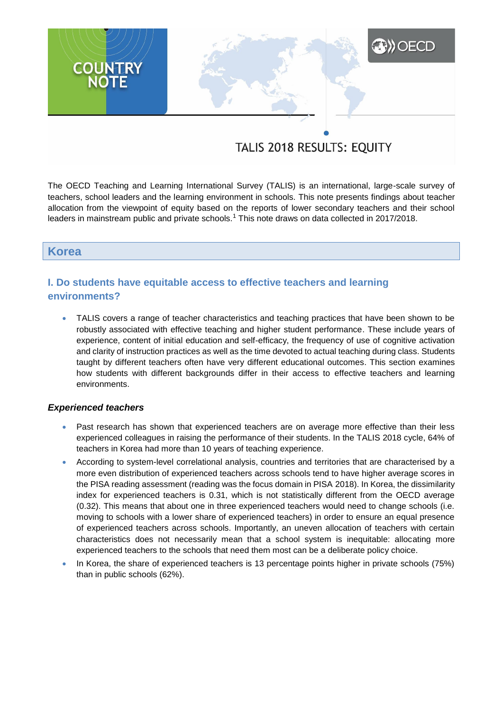# **XXX** OECD **COUNTRY**<br>NOTE

# TALIS 2018 RESULTS: EQUITY

The OECD Teaching and Learning International Survey (TALIS) is an international, large-scale survey of teachers, school leaders and the learning environment in schools. This note presents findings about teacher allocation from the viewpoint of equity based on the reports of lower secondary teachers and their school leaders in mainstream public and private schools.<sup>1</sup> This note draws on data collected in 2017/2018.

# **Korea**

# **I. Do students have equitable access to effective teachers and learning environments?**

 TALIS covers a range of teacher characteristics and teaching practices that have been shown to be robustly associated with effective teaching and higher student performance. These include years of experience, content of initial education and self-efficacy, the frequency of use of cognitive activation and clarity of instruction practices as well as the time devoted to actual teaching during class. Students taught by different teachers often have very different educational outcomes. This section examines how students with different backgrounds differ in their access to effective teachers and learning environments.

# *Experienced teachers*

- Past research has shown that experienced teachers are on average more effective than their less experienced colleagues in raising the performance of their students. In the TALIS 2018 cycle, 64% of teachers in Korea had more than 10 years of teaching experience.
- According to system-level correlational analysis, countries and territories that are characterised by a more even distribution of experienced teachers across schools tend to have higher average scores in the PISA reading assessment (reading was the focus domain in PISA 2018). In Korea, the dissimilarity index for experienced teachers is 0.31, which is not statistically different from the OECD average (0.32). This means that about one in three experienced teachers would need to change schools (i.e. moving to schools with a lower share of experienced teachers) in order to ensure an equal presence of experienced teachers across schools. Importantly, an uneven allocation of teachers with certain characteristics does not necessarily mean that a school system is inequitable: allocating more experienced teachers to the schools that need them most can be a deliberate policy choice.
- In Korea, the share of experienced teachers is 13 percentage points higher in private schools (75%) than in public schools (62%).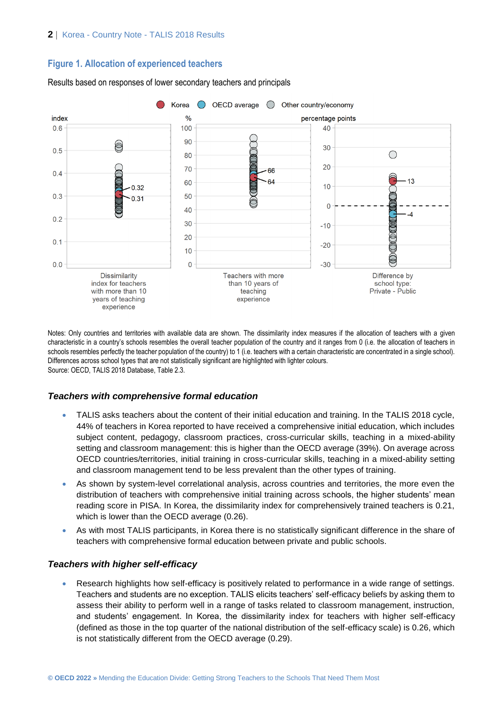# **Figure 1. Allocation of experienced teachers**



Results based on responses of lower secondary teachers and principals

Notes: Only countries and territories with available data are shown. The dissimilarity index measures if the allocation of teachers with a given characteristic in a country's schools resembles the overall teacher population of the country and it ranges from 0 (i.e. the allocation of teachers in schools resembles perfectly the teacher population of the country) to 1 (i.e. teachers with a certain characteristic are concentrated in a single school). Differences across school types that are not statistically significant are highlighted with lighter colours. Source: OECD, TALIS 2018 Database, Table 2.3.

# *Teachers with comprehensive formal education*

- TALIS asks teachers about the content of their initial education and training. In the TALIS 2018 cycle, 44% of teachers in Korea reported to have received a comprehensive initial education, which includes subject content, pedagogy, classroom practices, cross-curricular skills, teaching in a mixed-ability setting and classroom management: this is higher than the OECD average (39%). On average across OECD countries/territories, initial training in cross-curricular skills, teaching in a mixed-ability setting and classroom management tend to be less prevalent than the other types of training.
- As shown by system-level correlational analysis, across countries and territories, the more even the distribution of teachers with comprehensive initial training across schools, the higher students' mean reading score in PISA. In Korea, the dissimilarity index for comprehensively trained teachers is 0.21, which is lower than the OECD average (0.26).
- As with most TALIS participants, in Korea there is no statistically significant difference in the share of teachers with comprehensive formal education between private and public schools.

# *Teachers with higher self-efficacy*

 Research highlights how self-efficacy is positively related to performance in a wide range of settings. Teachers and students are no exception. TALIS elicits teachers' self-efficacy beliefs by asking them to assess their ability to perform well in a range of tasks related to classroom management, instruction, and students' engagement. In Korea, the dissimilarity index for teachers with higher self-efficacy (defined as those in the top quarter of the national distribution of the self-efficacy scale) is 0.26, which is not statistically different from the OECD average (0.29).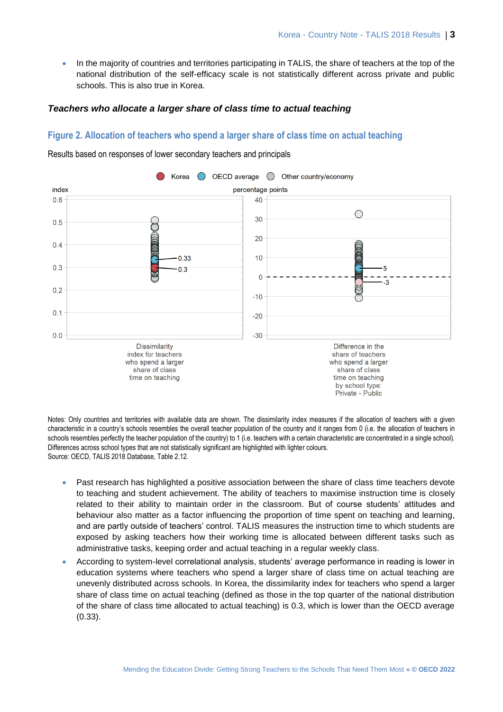• In the majority of countries and territories participating in TALIS, the share of teachers at the top of the national distribution of the self-efficacy scale is not statistically different across private and public schools. This is also true in Korea.

### *Teachers who allocate a larger share of class time to actual teaching*

# **Figure 2. Allocation of teachers who spend a larger share of class time on actual teaching**



Results based on responses of lower secondary teachers and principals

Notes: Only countries and territories with available data are shown. The dissimilarity index measures if the allocation of teachers with a given characteristic in a country's schools resembles the overall teacher population of the country and it ranges from 0 (i.e. the allocation of teachers in schools resembles perfectly the teacher population of the country) to 1 (i.e. teachers with a certain characteristic are concentrated in a single school). Differences across school types that are not statistically significant are highlighted with lighter colours. Source: OECD, TALIS 2018 Database, Table 2.12.

- Past research has highlighted a positive association between the share of class time teachers devote to teaching and student achievement. The ability of teachers to maximise instruction time is closely related to their ability to maintain order in the classroom. But of course students' attitudes and behaviour also matter as a factor influencing the proportion of time spent on teaching and learning, and are partly outside of teachers' control. TALIS measures the instruction time to which students are exposed by asking teachers how their working time is allocated between different tasks such as administrative tasks, keeping order and actual teaching in a regular weekly class.
- According to system-level correlational analysis, students' average performance in reading is lower in education systems where teachers who spend a larger share of class time on actual teaching are unevenly distributed across schools. In Korea, the dissimilarity index for teachers who spend a larger share of class time on actual teaching (defined as those in the top quarter of the national distribution of the share of class time allocated to actual teaching) is 0.3, which is lower than the OECD average (0.33).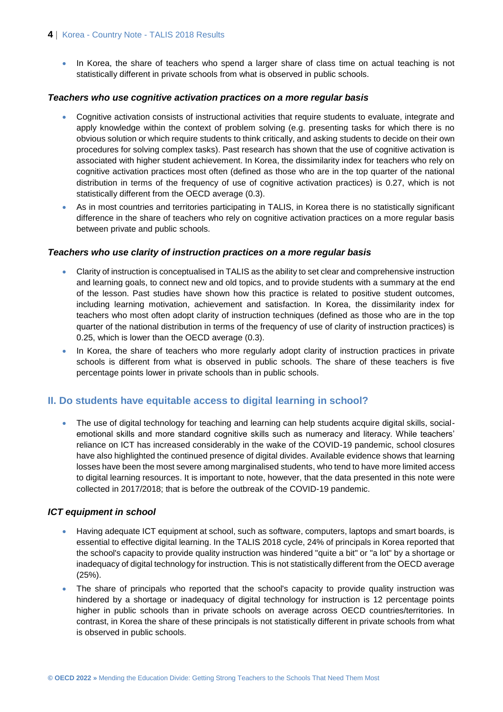• In Korea, the share of teachers who spend a larger share of class time on actual teaching is not statistically different in private schools from what is observed in public schools.

# *Teachers who use cognitive activation practices on a more regular basis*

- Cognitive activation consists of instructional activities that require students to evaluate, integrate and apply knowledge within the context of problem solving (e.g. presenting tasks for which there is no obvious solution or which require students to think critically, and asking students to decide on their own procedures for solving complex tasks). Past research has shown that the use of cognitive activation is associated with higher student achievement. In Korea, the dissimilarity index for teachers who rely on cognitive activation practices most often (defined as those who are in the top quarter of the national distribution in terms of the frequency of use of cognitive activation practices) is 0.27, which is not statistically different from the OECD average (0.3).
- As in most countries and territories participating in TALIS, in Korea there is no statistically significant difference in the share of teachers who rely on cognitive activation practices on a more regular basis between private and public schools.

# *Teachers who use clarity of instruction practices on a more regular basis*

- Clarity of instruction is conceptualised in TALIS as the ability to set clear and comprehensive instruction and learning goals, to connect new and old topics, and to provide students with a summary at the end of the lesson. Past studies have shown how this practice is related to positive student outcomes, including learning motivation, achievement and satisfaction. In Korea, the dissimilarity index for teachers who most often adopt clarity of instruction techniques (defined as those who are in the top quarter of the national distribution in terms of the frequency of use of clarity of instruction practices) is 0.25, which is lower than the OECD average (0.3).
- In Korea, the share of teachers who more regularly adopt clarity of instruction practices in private schools is different from what is observed in public schools. The share of these teachers is five percentage points lower in private schools than in public schools.

# **II. Do students have equitable access to digital learning in school?**

• The use of digital technology for teaching and learning can help students acquire digital skills, socialemotional skills and more standard cognitive skills such as numeracy and literacy. While teachers' reliance on ICT has increased considerably in the wake of the COVID-19 pandemic, school closures have also highlighted the continued presence of digital divides. Available evidence shows that learning losses have been the most severe among marginalised students, who tend to have more limited access to digital learning resources. It is important to note, however, that the data presented in this note were collected in 2017/2018; that is before the outbreak of the COVID-19 pandemic.

# *ICT equipment in school*

- Having adequate ICT equipment at school, such as software, computers, laptops and smart boards, is essential to effective digital learning. In the TALIS 2018 cycle, 24% of principals in Korea reported that the school's capacity to provide quality instruction was hindered "quite a bit" or "a lot" by a shortage or inadequacy of digital technology for instruction. This is not statistically different from the OECD average (25%).
- The share of principals who reported that the school's capacity to provide quality instruction was hindered by a shortage or inadequacy of digital technology for instruction is 12 percentage points higher in public schools than in private schools on average across OECD countries/territories. In contrast, in Korea the share of these principals is not statistically different in private schools from what is observed in public schools.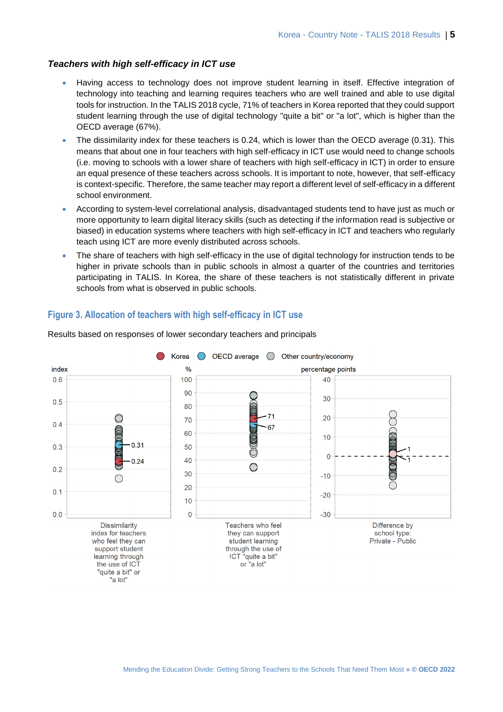### *Teachers with high self-efficacy in ICT use*

- Having access to technology does not improve student learning in itself. Effective integration of technology into teaching and learning requires teachers who are well trained and able to use digital tools for instruction. In the TALIS 2018 cycle, 71% of teachers in Korea reported that they could support student learning through the use of digital technology "quite a bit" or "a lot", which is higher than the OECD average (67%).
- The dissimilarity index for these teachers is 0.24, which is lower than the OECD average (0.31). This means that about one in four teachers with high self-efficacy in ICT use would need to change schools (i.e. moving to schools with a lower share of teachers with high self-efficacy in ICT) in order to ensure an equal presence of these teachers across schools. It is important to note, however, that self-efficacy is context-specific. Therefore, the same teacher may report a different level of self-efficacy in a different school environment.
- According to system-level correlational analysis, disadvantaged students tend to have just as much or more opportunity to learn digital literacy skills (such as detecting if the information read is subjective or biased) in education systems where teachers with high self-efficacy in ICT and teachers who regularly teach using ICT are more evenly distributed across schools.
- The share of teachers with high self-efficacy in the use of digital technology for instruction tends to be higher in private schools than in public schools in almost a quarter of the countries and territories participating in TALIS. In Korea, the share of these teachers is not statistically different in private schools from what is observed in public schools.

# **Figure 3. Allocation of teachers with high self-efficacy in ICT use**



### Results based on responses of lower secondary teachers and principals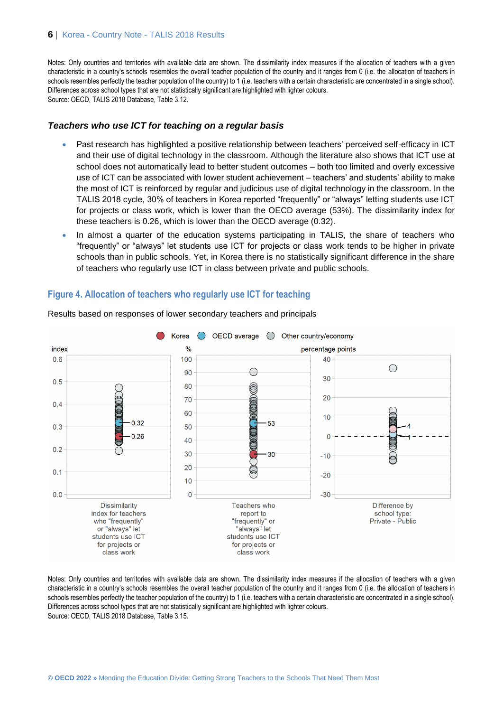Notes: Only countries and territories with available data are shown. The dissimilarity index measures if the allocation of teachers with a given characteristic in a country's schools resembles the overall teacher population of the country and it ranges from 0 (i.e. the allocation of teachers in schools resembles perfectly the teacher population of the country) to 1 (i.e. teachers with a certain characteristic are concentrated in a single school). Differences across school types that are not statistically significant are highlighted with lighter colours. Source: OECD, TALIS 2018 Database, Table 3.12.

### *Teachers who use ICT for teaching on a regular basis*

- Past research has highlighted a positive relationship between teachers' perceived self-efficacy in ICT and their use of digital technology in the classroom. Although the literature also shows that ICT use at school does not automatically lead to better student outcomes – both too limited and overly excessive use of ICT can be associated with lower student achievement – teachers' and students' ability to make the most of ICT is reinforced by regular and judicious use of digital technology in the classroom. In the TALIS 2018 cycle, 30% of teachers in Korea reported "frequently" or "always" letting students use ICT for projects or class work, which is lower than the OECD average (53%). The dissimilarity index for these teachers is 0.26, which is lower than the OECD average (0.32).
- In almost a quarter of the education systems participating in TALIS, the share of teachers who "frequently" or "always" let students use ICT for projects or class work tends to be higher in private schools than in public schools. Yet, in Korea there is no statistically significant difference in the share of teachers who regularly use ICT in class between private and public schools.

# **Figure 4. Allocation of teachers who regularly use ICT for teaching**



Results based on responses of lower secondary teachers and principals

Notes: Only countries and territories with available data are shown. The dissimilarity index measures if the allocation of teachers with a given characteristic in a country's schools resembles the overall teacher population of the country and it ranges from 0 (i.e. the allocation of teachers in schools resembles perfectly the teacher population of the country) to 1 (i.e. teachers with a certain characteristic are concentrated in a single school). Differences across school types that are not statistically significant are highlighted with lighter colours. Source: OECD, TALIS 2018 Database, Table 3.15.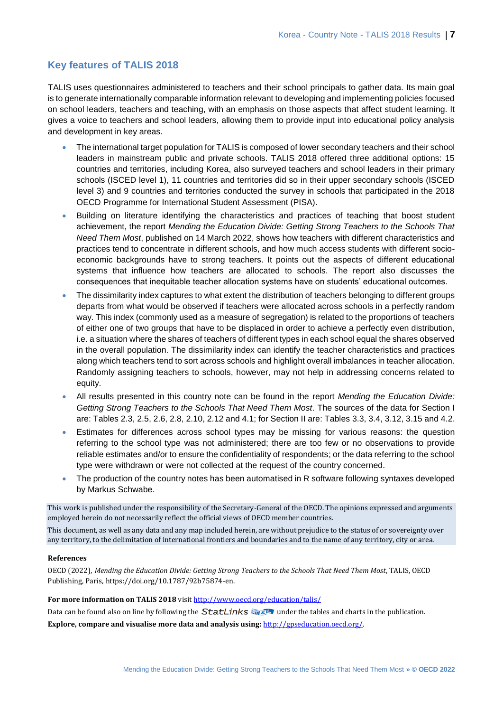# **Key features of TALIS 2018**

TALIS uses questionnaires administered to teachers and their school principals to gather data. Its main goal is to generate internationally comparable information relevant to developing and implementing policies focused on school leaders, teachers and teaching, with an emphasis on those aspects that affect student learning. It gives a voice to teachers and school leaders, allowing them to provide input into educational policy analysis and development in key areas.

- The international target population for TALIS is composed of lower secondary teachers and their school leaders in mainstream public and private schools. TALIS 2018 offered three additional options: 15 countries and territories, including Korea, also surveyed teachers and school leaders in their primary schools (ISCED level 1), 11 countries and territories did so in their upper secondary schools (ISCED level 3) and 9 countries and territories conducted the survey in schools that participated in the 2018 OECD Programme for International Student Assessment (PISA).
- Building on literature identifying the characteristics and practices of teaching that boost student achievement, the report *Mending the Education Divide: Getting Strong Teachers to the Schools That Need Them Most*, published on 14 March 2022, shows how teachers with different characteristics and practices tend to concentrate in different schools, and how much access students with different socioeconomic backgrounds have to strong teachers. It points out the aspects of different educational systems that influence how teachers are allocated to schools. The report also discusses the consequences that inequitable teacher allocation systems have on students' educational outcomes.
- The dissimilarity index captures to what extent the distribution of teachers belonging to different groups departs from what would be observed if teachers were allocated across schools in a perfectly random way. This index (commonly used as a measure of segregation) is related to the proportions of teachers of either one of two groups that have to be displaced in order to achieve a perfectly even distribution, i.e. a situation where the shares of teachers of different types in each school equal the shares observed in the overall population. The dissimilarity index can identify the teacher characteristics and practices along which teachers tend to sort across schools and highlight overall imbalances in teacher allocation. Randomly assigning teachers to schools, however, may not help in addressing concerns related to equity.
- All results presented in this country note can be found in the report *Mending the Education Divide: Getting Strong Teachers to the Schools That Need Them Most*. The sources of the data for Section I are: Tables 2.3, 2.5, 2.6, 2.8, 2.10, 2.12 and 4.1; for Section II are: Tables 3.3, 3.4, 3.12, 3.15 and 4.2.
- Estimates for differences across school types may be missing for various reasons: the question referring to the school type was not administered; there are too few or no observations to provide reliable estimates and/or to ensure the confidentiality of respondents; or the data referring to the school type were withdrawn or were not collected at the request of the country concerned.
- The production of the country notes has been automatised in R software following syntaxes developed by Markus Schwabe.

This work is published under the responsibility of the Secretary-General of the OECD. The opinions expressed and arguments employed herein do not necessarily reflect the official views of OECD member countries.

This document, as well as any data and any map included herein, are without prejudice to the status of or sovereignty over any territory, to the delimitation of international frontiers and boundaries and to the name of any territory, city or area.

### **References**

OECD (2022), *Mending the Education Divide: Getting Strong Teachers to the Schools That Need Them Most*, TALIS, OECD Publishing, Paris, https://doi.org/10.1787/92b75874-en.

### For more information on TALIS 2018 visi[t http://www.oecd.org/education/talis/](http://www.oecd.org/education/talis/)

Data can be found also on line by following the **StatLinks**  $\frac{1}{\sqrt{2}}$  under the tables and charts in the publication. **Explore, compare and visualise more data and analysis using:** [http://gpseducation.oecd.org/.](http://gpseducation.oecd.org/)